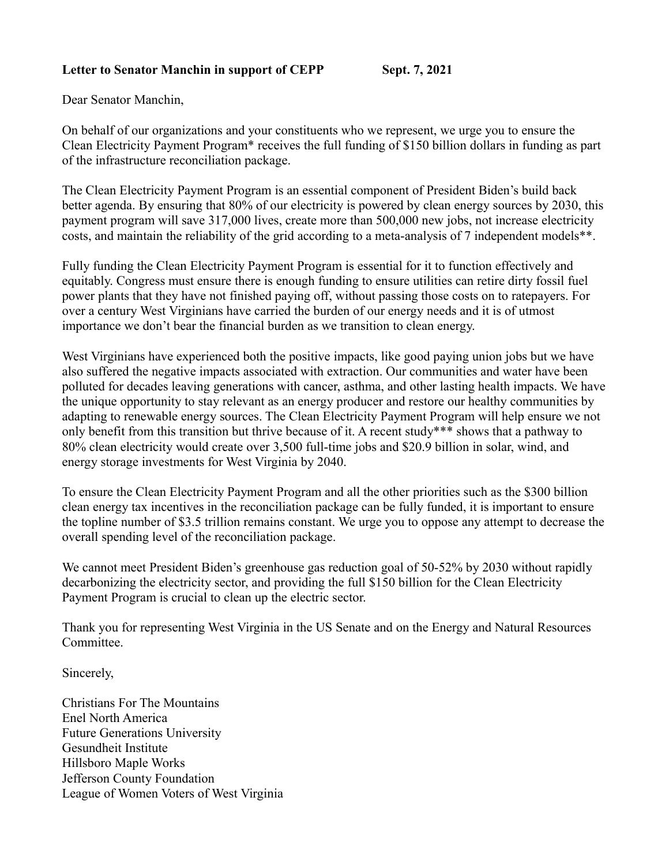## Letter to Senator Manchin in support of CEPP Sept. 7, 2021

Dear Senator Manchin,

On behalf of our organizations and your constituents who we represent, we urge you to ensure the Clean Electricity Payment Program\* receives the full funding of \$150 billion dollars in funding as part of the infrastructure reconciliation package.

The Clean Electricity Payment Program is an essential component of President Biden's build back better agenda. By ensuring that 80% of our electricity is powered by clean energy sources by 2030, this payment program will save 317,000 lives, create more than 500,000 new jobs, not increase electricity costs, and maintain the reliability of the grid according to a meta-analysis of 7 independent models\*\*.

Fully funding the Clean Electricity Payment Program is essential for it to function effectively and equitably. Congress must ensure there is enough funding to ensure utilities can retire dirty fossil fuel power plants that they have not finished paying off, without passing those costs on to ratepayers. For over a century West Virginians have carried the burden of our energy needs and it is of utmost importance we don't bear the financial burden as we transition to clean energy.

West Virginians have experienced both the positive impacts, like good paying union jobs but we have also suffered the negative impacts associated with extraction. Our communities and water have been polluted for decades leaving generations with cancer, asthma, and other lasting health impacts. We have the unique opportunity to stay relevant as an energy producer and restore our healthy communities by adapting to renewable energy sources. The Clean Electricity Payment Program will help ensure we not only benefit from this transition but thrive because of it. A recent study\*\*\* shows that a pathway to 80% clean electricity would create over 3,500 full-time jobs and \$20.9 billion in solar, wind, and energy storage investments for West Virginia by 2040.

To ensure the Clean Electricity Payment Program and all the other priorities such as the \$300 billion clean energy tax incentives in the reconciliation package can be fully funded, it is important to ensure the topline number of \$3.5 trillion remains constant. We urge you to oppose any attempt to decrease the overall spending level of the reconciliation package.

We cannot meet President Biden's greenhouse gas reduction goal of 50-52% by 2030 without rapidly decarbonizing the electricity sector, and providing the full \$150 billion for the Clean Electricity Payment Program is crucial to clean up the electric sector.

Thank you for representing West Virginia in the US Senate and on the Energy and Natural Resources Committee.

Sincerely,

Christians For The Mountains Enel North America Future Generations University Gesundheit Institute Hillsboro Maple Works Jefferson County Foundation League of Women Voters of West Virginia